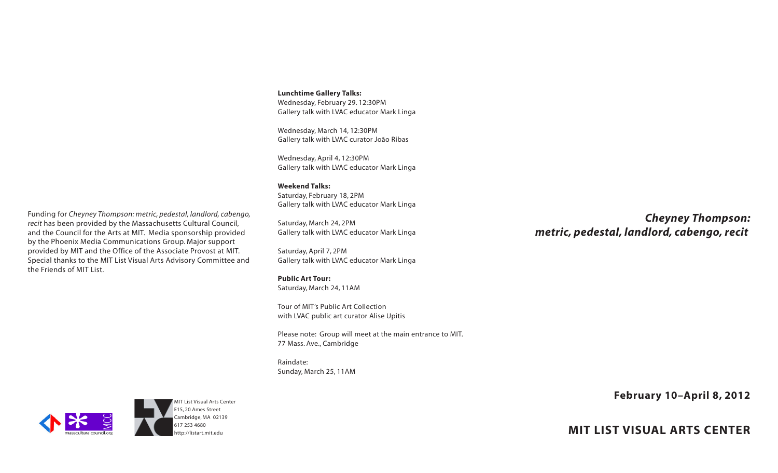**Lunchtime Gallery Talks:** Wednesday, February 29. 12:30PM Gallery talk with LVAC educator Mark Linga

Wednesday, March 14, 12:30PM Gallery talk with LVAC curator João Ribas

Wednesday, April 4, 12:30PM Gallery talk with LVAC educator Mark Linga

## **Weekend Talks:**

Saturday, February 18, 2PM Gallery talk with LVAC educator Mark Linga

Saturday, March 24, 2PM Gallery talk with LVAC educator Mark Linga

Saturday, April 7, 2PM Gallery talk with LVAC educator Mark Linga

## **Public Art Tour:**

Saturday, March 24, 11AM

Tour of MIT's Public Art Collection with LVAC public art curator Alise Upitis

Please note: Group will meet at the main entrance to MIT. 77 Mass. Ave., Cambridge

Raindate: Sunday, March 25, 11AM

*Cheyney Thompson: metric, pedestal, landlord, cabengo, recit*



**MIT LIST VISUAL ARTS CENTER**

Funding for *Cheyney Thompson: metric, pedestal, landlord, cabengo, recit* has been provided by the Massachusetts Cultural Council, and the Council for the Arts at MIT. Media sponsorship provided by the Phoenix Media Communications Group. Major support provided by MIT and the Office of the Associate Provost at MIT. Special thanks to the MIT List Visual Arts Advisory Committee and the Friends of MIT List.



MIT List Visual Arts Center E15, 20 Ames Street Cambridge, MA 02139 [617 253 4680](tel:6172534680) <http://listart.mit.edu>